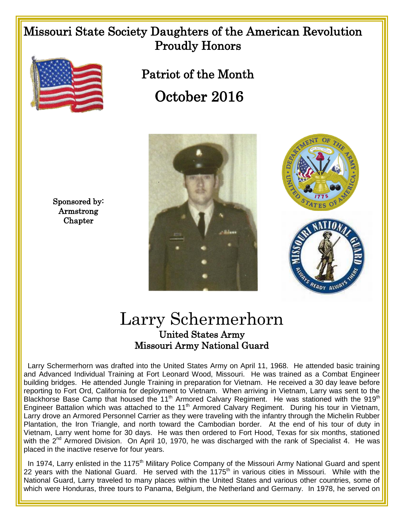## Missouri State Society Daughters of the American Revolution Proudly Honors



 Patriot of the Month October 2016





## Larry Schermerhorn United States Army Missouri Army National Guard

Larry Schermerhorn was drafted into the United States Army on April 11, 1968. He attended basic training and Advanced Individual Training at Fort Leonard Wood, Missouri. He was trained as a Combat Engineer building bridges. He attended Jungle Training in preparation for Vietnam. He received a 30 day leave before reporting to Fort Ord, California for deployment to Vietnam. When arriving in Vietnam, Larry was sent to the Blackhorse Base Camp that housed the 11<sup>th</sup> Armored Calvary Regiment. He was stationed with the 919<sup>th</sup> Engineer Battalion which was attached to the 11<sup>th</sup> Armored Calvary Regiment. During his tour in Vietnam, Larry drove an Armored Personnel Carrier as they were traveling with the infantry through the Michelin Rubber Plantation, the Iron Triangle, and north toward the Cambodian border. At the end of his tour of duty in Vietnam, Larry went home for 30 days. He was then ordered to Fort Hood, Texas for six months, stationed with the  $2^{nd}$  Armored Division. On April 10, 1970, he was discharged with the rank of Specialist 4. He was placed in the inactive reserve for four years.

In 1974, Larry enlisted in the 1175<sup>th</sup> Military Police Company of the Missouri Army National Guard and spent 22 years with the National Guard. He served with the 1175<sup>th</sup> in various cities in Missouri. While with the National Guard, Larry traveled to many places within the United States and various other countries, some of which were Honduras, three tours to Panama, Belgium, the Netherland and Germany. In 1978, he served on

Sponsored by: Armstrong **Chapter**